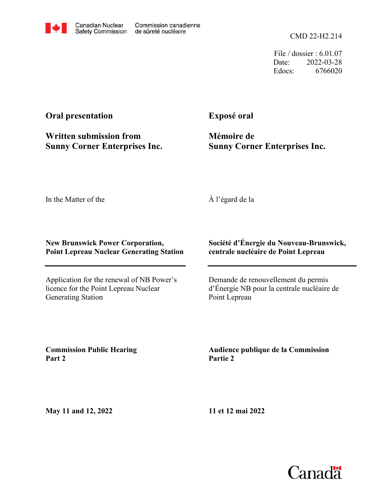

File / dossier : 6.01.07 Date: 2022-03-28 Edocs: 6766020

## **Oral presentation**

**Written submission from Sunny Corner Enterprises Inc.** **Exposé oral**

**Mémoire de Sunny Corner Enterprises Inc.**

In the Matter of the

À l'égard de la

## **New Brunswick Power Corporation, Point Lepreau Nuclear Generating Station**

Application for the renewal of NB Power's licence for the Point Lepreau Nuclear Generating Station

## **Société d'Énergie du Nouveau-Brunswick, centrale nucléaire de Point Lepreau**

Demande de renouvellement du permis d'Énergie NB pour la centrale nucléaire de Point Lepreau

**Commission Public Hearing Part 2**

**Audience publique de la Commission Partie 2**

**May 11 and 12, 2022**

**11 et 12 mai 2022**

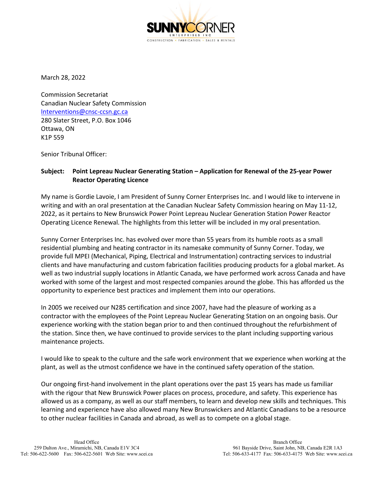

March 28, 2022

Commission Secretariat Canadian Nuclear Safety Commission [Interventions@cnsc-ccsn.gc.ca](mailto:Interventions@cnsc-ccsn.gc.ca) 280 Slater Street, P.O. Box 1046 Ottawa, ON K1P 559

Senior Tribunal Officer:

## **Subject: Point Lepreau Nuclear Generating Station – Application for Renewal of the 25-year Power Reactor Operating Licence**

My name is Gordie Lavoie, I am President of Sunny Corner Enterprises Inc. and I would like to intervene in writing and with an oral presentation at the Canadian Nuclear Safety Commission hearing on May 11-12, 2022, as it pertains to New Brunswick Power Point Lepreau Nuclear Generation Station Power Reactor Operating Licence Renewal. The highlights from this letter will be included in my oral presentation.

Sunny Corner Enterprises Inc. has evolved over more than 55 years from its humble roots as a small residential plumbing and heating contractor in its namesake community of Sunny Corner. Today, we provide full MPEI (Mechanical, Piping, Electrical and Instrumentation) contracting services to industrial clients and have manufacturing and custom fabrication facilities producing products for a global market. As well as two industrial supply locations in Atlantic Canada, we have performed work across Canada and have worked with some of the largest and most respected companies around the globe. This has afforded us the opportunity to experience best practices and implement them into our operations.

In 2005 we received our N285 certification and since 2007, have had the pleasure of working as a contractor with the employees of the Point Lepreau Nuclear Generating Station on an ongoing basis. Our experience working with the station began prior to and then continued throughout the refurbishment of the station. Since then, we have continued to provide services to the plant including supporting various maintenance projects.

I would like to speak to the culture and the safe work environment that we experience when working at the plant, as well as the utmost confidence we have in the continued safety operation of the station.

Our ongoing first-hand involvement in the plant operations over the past 15 years has made us familiar with the rigour that New Brunswick Power places on process, procedure, and safety. This experience has allowed us as a company, as well as our staff members, to learn and develop new skills and techniques. This learning and experience have also allowed many New Brunswickers and Atlantic Canadians to be a resource to other nuclear facilities in Canada and abroad, as well as to compete on a global stage.